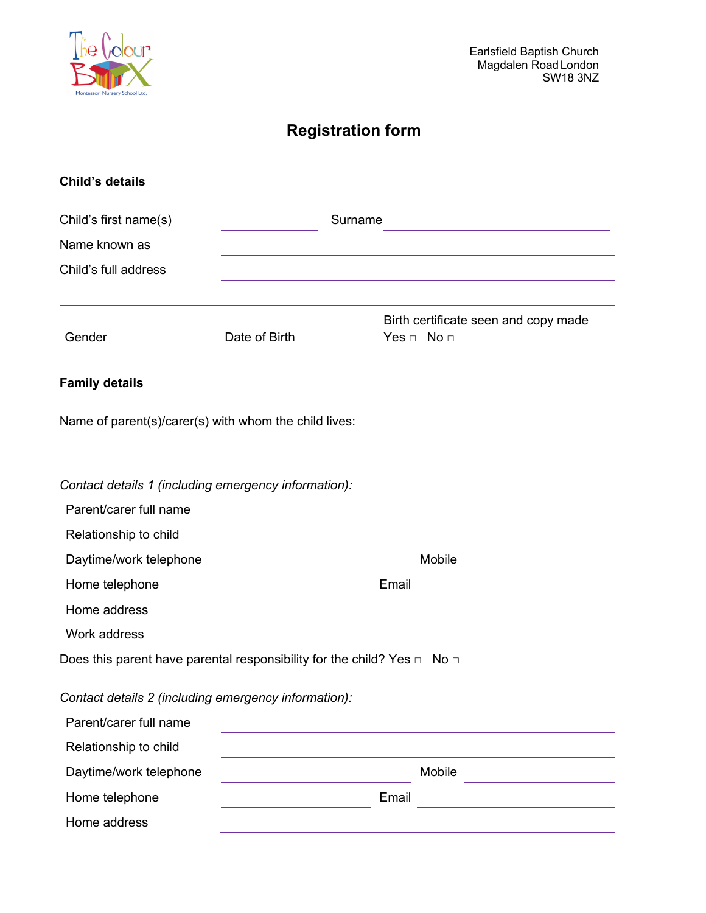

# **Registration form**

| <b>Child's details</b>                                |               |                                                                                   |  |
|-------------------------------------------------------|---------------|-----------------------------------------------------------------------------------|--|
| Child's first name(s)                                 |               | Surname                                                                           |  |
| Name known as                                         |               |                                                                                   |  |
| Child's full address                                  |               |                                                                                   |  |
|                                                       |               |                                                                                   |  |
| Gender                                                | Date of Birth | Birth certificate seen and copy made<br>Yes $\Box$ No $\Box$                      |  |
| <b>Family details</b>                                 |               |                                                                                   |  |
| Name of parent(s)/carer(s) with whom the child lives: |               |                                                                                   |  |
| Contact details 1 (including emergency information):  |               |                                                                                   |  |
| Parent/carer full name                                |               |                                                                                   |  |
| Relationship to child                                 |               |                                                                                   |  |
| Daytime/work telephone                                |               | Mobile                                                                            |  |
| Home telephone                                        |               | Email<br><u> 1989 - Jan Alexandria (</u>                                          |  |
| Home address                                          |               |                                                                                   |  |
| Work address                                          |               |                                                                                   |  |
|                                                       |               | Does this parent have parental responsibility for the child? Yes $\Box$ No $\Box$ |  |
| Contact details 2 (including emergency information):  |               |                                                                                   |  |
| Parent/carer full name                                |               |                                                                                   |  |
| Relationship to child                                 |               |                                                                                   |  |
| Daytime/work telephone                                |               | Mobile<br><u> 1989 - Johann Barn, mars ann an t-Amhain ann an t-A</u>             |  |
| Home telephone                                        |               | Email<br><u> 1989 - Johann Barbara, martxa alemaniar a</u>                        |  |
| Home address                                          |               |                                                                                   |  |
|                                                       |               |                                                                                   |  |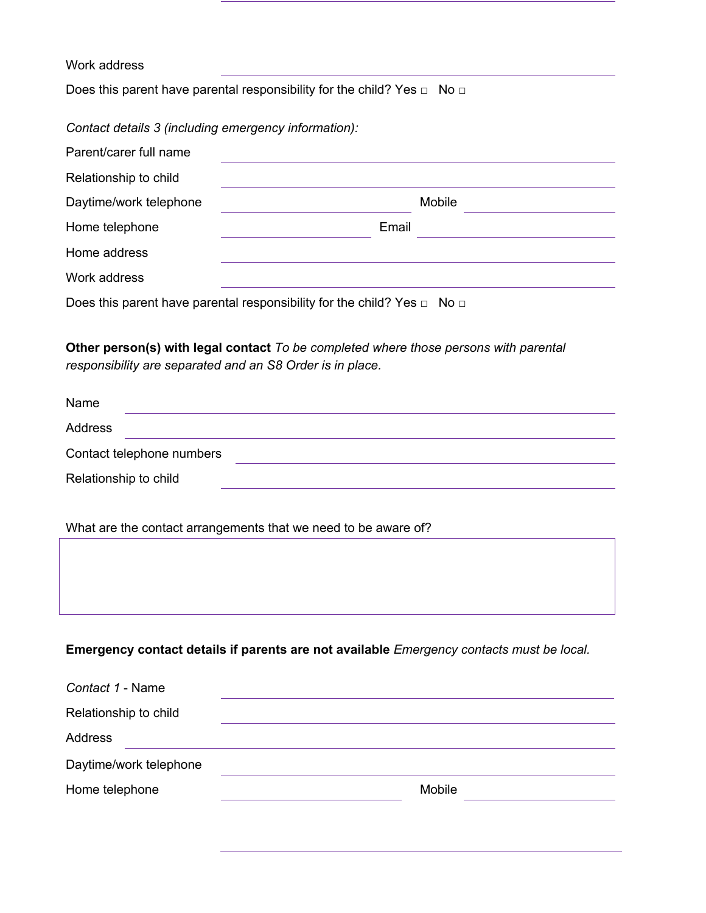## Work address

Does this parent have parental responsibility for the child? Yes □ No □

*Contact details 3 (including emergency information):*

| Parent/carer full name |                                                                                                       |
|------------------------|-------------------------------------------------------------------------------------------------------|
| Relationship to child  |                                                                                                       |
| Daytime/work telephone | Mobile                                                                                                |
| Home telephone         | Email                                                                                                 |
| Home address           |                                                                                                       |
| Work address           |                                                                                                       |
|                        | $\mathbf{u}$ . The set of $\mathbf{u}$ is a set of $\mathbf{v}$<br><b>All Property Committee</b><br>. |

Does this parent have parental responsibility for the child? Yes □ No □

**Other person(s) with legal contact** *To be completed where those persons with parental responsibility are separated and an S8 Order is in place.*

| Name                      |  |
|---------------------------|--|
| Address                   |  |
| Contact telephone numbers |  |
| Relationship to child     |  |

What are the contact arrangements that we need to be aware of?

## **Emergency contact details if parents are not available** *Emergency contacts must be local.*

| Contact 1 - Name       |        |
|------------------------|--------|
| Relationship to child  |        |
| Address                |        |
| Daytime/work telephone |        |
| Home telephone         | Mobile |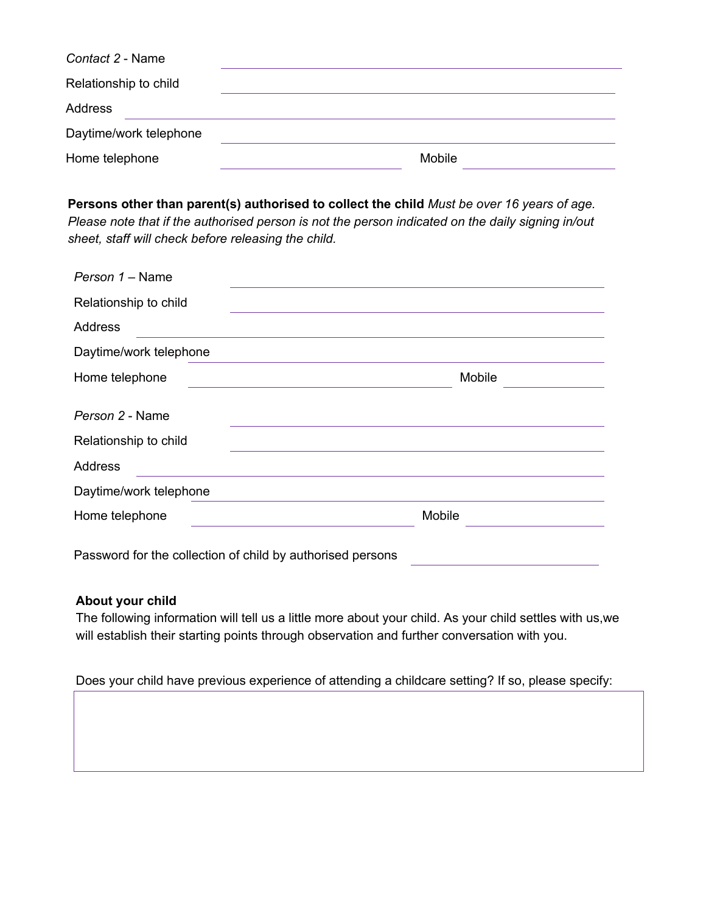| Contact 2 - Name       |        |
|------------------------|--------|
| Relationship to child  |        |
| Address                |        |
| Daytime/work telephone |        |
| Home telephone         | Mobile |

**Persons other than parent(s) authorised to collect the child** *Must be over 16 years of age. Please note that if the authorised person is not the person indicated on the daily signing in/out sheet, staff will check before releasing the child.*

| Person 1 - Name                          |        |
|------------------------------------------|--------|
| Relationship to child                    |        |
| Address                                  |        |
| Daytime/work telephone                   |        |
| Home telephone                           | Mobile |
| Person 2 - Name<br>Relationship to child |        |
| <b>Address</b>                           |        |
| Daytime/work telephone                   |        |
| Home telephone                           | Mobile |
|                                          |        |

Password for the collection of child by authorised persons

#### **About your child**

The following information will tell us a little more about your child. As your child settles with us,we will establish their starting points through observation and further conversation with you.

Does your child have previous experience of attending a childcare setting? If so, please specify: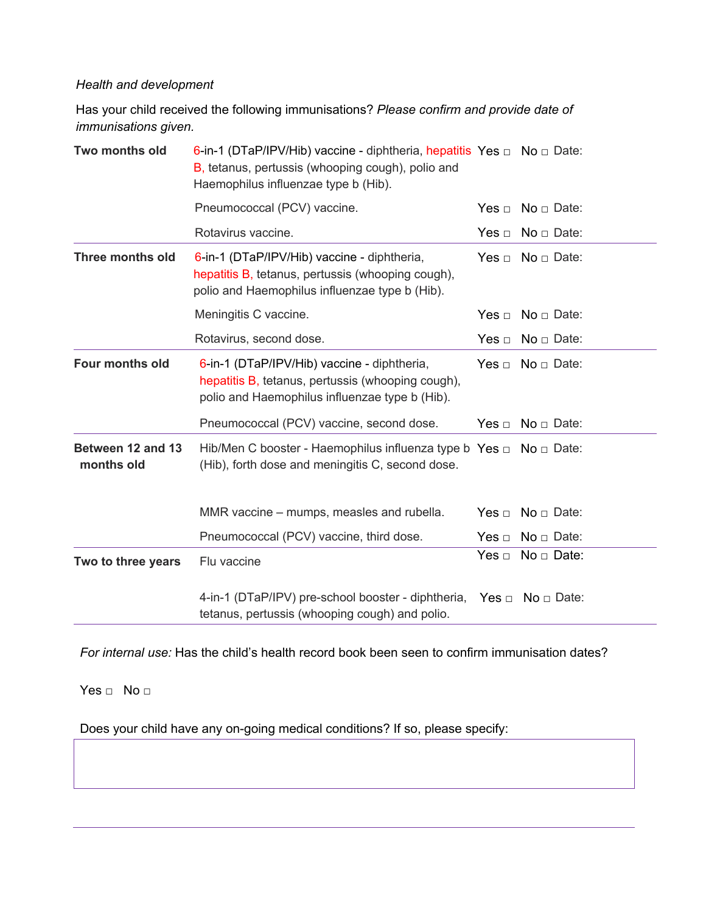# *Health and development*

Has your child received the following immunisations? *Please confirm and provide date of immunisations given.*

| Two months old                  | 6-in-1 (DTaP/IPV/Hib) vaccine - diphtheria, hepatitis Yes $\Box$ No $\Box$ Date:<br>B, tetanus, pertussis (whooping cough), polio and<br>Haemophilus influenzae type b (Hib). |            |                           |
|---------------------------------|-------------------------------------------------------------------------------------------------------------------------------------------------------------------------------|------------|---------------------------|
|                                 | Pneumococcal (PCV) vaccine.                                                                                                                                                   |            | $No \square$ Date:        |
|                                 | Rotavirus vaccine.                                                                                                                                                            | Yes $\Box$ | $No \square$ Date:        |
| <b>Three months old</b>         | 6-in-1 (DTaP/IPV/Hib) vaccine - diphtheria,<br>hepatitis B, tetanus, pertussis (whooping cough),<br>polio and Haemophilus influenzae type b (Hib).                            | Yes $\Box$ | $No \square$ Date:        |
|                                 | Meningitis C vaccine.                                                                                                                                                         | Yes $\Box$ | $No \square$ Date:        |
|                                 | Rotavirus, second dose.                                                                                                                                                       | Yes $\Box$ | $No \square$ Date:        |
| Four months old                 | 6-in-1 (DTaP/IPV/Hib) vaccine - diphtheria,<br>hepatitis B, tetanus, pertussis (whooping cough),<br>polio and Haemophilus influenzae type b (Hib).                            | Yes $\Box$ | $No \square$ Date:        |
|                                 | Pneumococcal (PCV) vaccine, second dose.                                                                                                                                      | Yes $\Box$ | $No \square$ Date:        |
| Between 12 and 13<br>months old | Hib/Men C booster - Haemophilus influenza type b Yes $\Box$ No $\Box$ Date:<br>(Hib), forth dose and meningitis C, second dose.                                               |            |                           |
|                                 | MMR vaccine - mumps, measles and rubella.                                                                                                                                     | Yes $\Box$ | $No \square$ Date:        |
|                                 | Pneumococcal (PCV) vaccine, third dose.                                                                                                                                       | Yes $\Box$ | $No \square$ Date:        |
| Two to three years              | Flu vaccine                                                                                                                                                                   | Yes $\Box$ | $No \square$ Date:        |
|                                 | 4-in-1 (DTaP/IPV) pre-school booster - diphtheria,<br>tetanus, pertussis (whooping cough) and polio.                                                                          |            | $Yes \Box No \Box Data$ : |

*For internal use:* Has the child's health record book been seen to confirm immunisation dates?

Yes □ No □

Does your child have any on-going medical conditions? If so, please specify: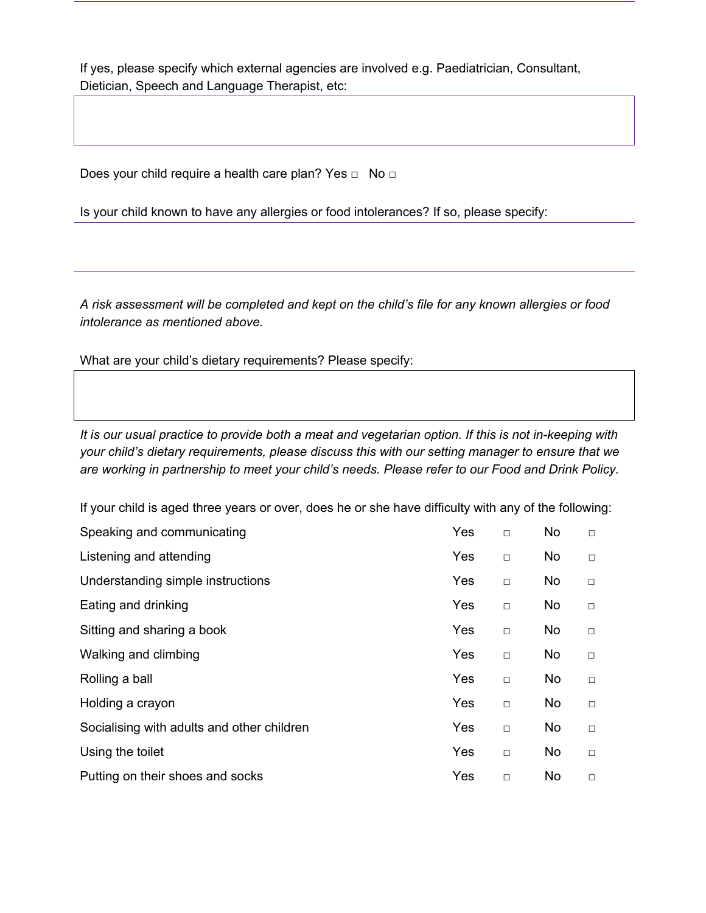If yes, please specify which external agencies are involved e.g. Paediatrician, Consultant, Dietician, Speech and Language Therapist, etc:

Does your child require a health care plan? Yes □ No □

Is your child known to have any allergies or food intolerances? If so, please specify:

*A risk assessment will be completed and kept on the child's file for any known allergies or food intolerance as mentioned above.*

What are your child's dietary requirements? Please specify:

*It is our usual practice to provide both a meat and vegetarian option. If this is not in-keeping with your child's dietary requirements, please discuss this with our setting manager to ensure that we are working in partnership to meet your child's needs. Please refer to our Food and Drink Policy.*

If your child is aged three years or over, does he or she have difficulty with any of the following:

| Speaking and communicating                 | Yes | $\Box$ | No.       | $\Box$ |
|--------------------------------------------|-----|--------|-----------|--------|
| Listening and attending                    | Yes | $\Box$ | No.       | $\Box$ |
| Understanding simple instructions          | Yes | $\Box$ | No.       | $\Box$ |
| Eating and drinking                        | Yes | $\Box$ | No.       | $\Box$ |
| Sitting and sharing a book                 | Yes | $\Box$ | No        | $\Box$ |
| Walking and climbing                       | Yes | $\Box$ | No.       | $\Box$ |
| Rolling a ball                             | Yes | $\Box$ | <b>No</b> | $\Box$ |
| Holding a crayon                           | Yes | $\Box$ | <b>No</b> | $\Box$ |
| Socialising with adults and other children | Yes | $\Box$ | <b>No</b> | $\Box$ |
| Using the toilet                           | Yes | $\Box$ | <b>No</b> | $\Box$ |
| Putting on their shoes and socks           | Yes | $\Box$ | <b>No</b> | $\Box$ |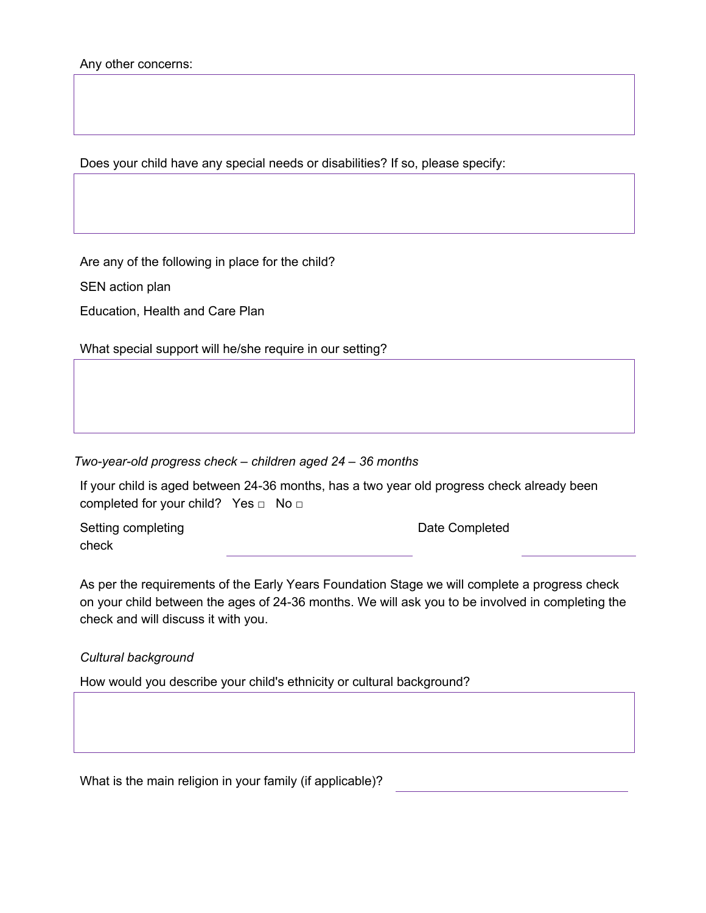Does your child have any special needs or disabilities? If so, please specify:

Are any of the following in place for the child?

SEN action plan

Education, Health and Care Plan

What special support will he/she require in our setting?

*Two-year-old progress check – children aged 24 – 36 months*

If your child is aged between 24-36 months, has a two year old progress check already been completed for your child? Yes □ No □

Setting completing check

Date Completed

As per the requirements of the Early Years Foundation Stage we will complete a progress check on your child between the ages of 24-36 months. We will ask you to be involved in completing the check and will discuss it with you.

#### *Cultural background*

How would you describe your child's ethnicity or cultural background?

What is the main religion in your family (if applicable)?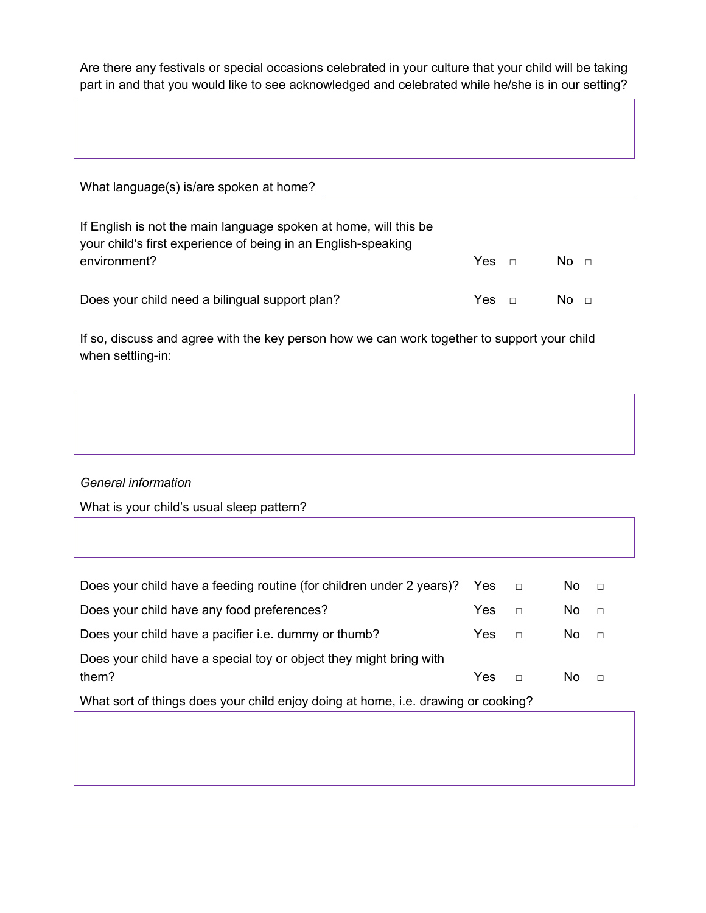Are there any festivals or special occasions celebrated in your culture that your child will be taking part in and that you would like to see acknowledged and celebrated while he/she is in our setting?

| What language(s) is/are spoken at home?                                                                                                           |            |        |                 |  |
|---------------------------------------------------------------------------------------------------------------------------------------------------|------------|--------|-----------------|--|
| If English is not the main language spoken at home, will this be<br>your child's first experience of being in an English-speaking<br>environment? | $Yes \Box$ |        | No <sub>1</sub> |  |
| Does your child need a bilingual support plan?                                                                                                    | Yes.       | $\Box$ | NO <sub>0</sub> |  |

If so, discuss and agree with the key person how we can work together to support your child when settling-in:

# *General information*

What is your child's usual sleep pattern?

| Does your child have a feeding routine (for children under 2 years)? Yes $\Box$   |      |        | $\overline{N}$ o $\Box$ |        |  |
|-----------------------------------------------------------------------------------|------|--------|-------------------------|--------|--|
| Does your child have any food preferences?                                        | Yes: | $\Box$ | $No \square$            |        |  |
| Does your child have a pacifier i.e. dummy or thumb?                              | Yes. | $\Box$ | No.                     | $\Box$ |  |
| Does your child have a special toy or object they might bring with<br>them?       | Yes. | $\Box$ | No.                     | $\Box$ |  |
| What sort of things does your child enjoy doing at home, i.e. drawing or cooking? |      |        |                         |        |  |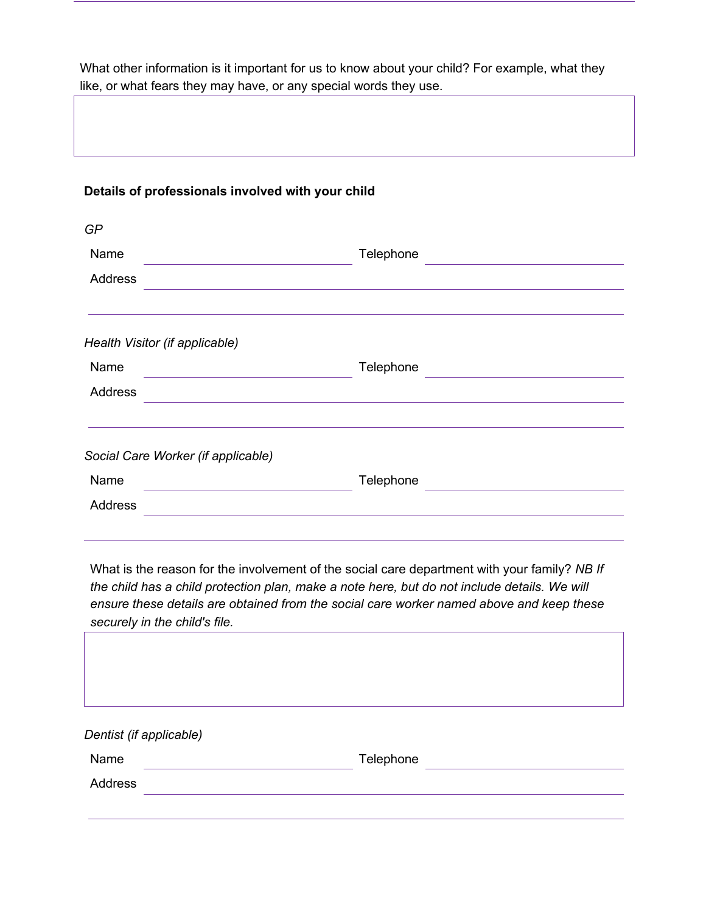What other information is it important for us to know about your child? For example, what they like, or what fears they may have, or any special words they use.

#### **Details of professionals involved with your child**

| GP                                 |           |
|------------------------------------|-----------|
| Name                               | Telephone |
| Address                            |           |
| Health Visitor (if applicable)     |           |
| Name                               | Telephone |
| Address                            |           |
| Social Care Worker (if applicable) |           |
| Name                               | Telephone |
| <b>Address</b>                     |           |
|                                    |           |

What is the reason for the involvement of the social care department with your family? *NB If the child has a child protection plan, make a note here, but do not include details. We will ensure these details are obtained from the social care worker named above and keep these securely in the child's file.*

| Dentist (if applicable) |           |  |
|-------------------------|-----------|--|
| Name                    | Telephone |  |
| Address                 |           |  |
|                         |           |  |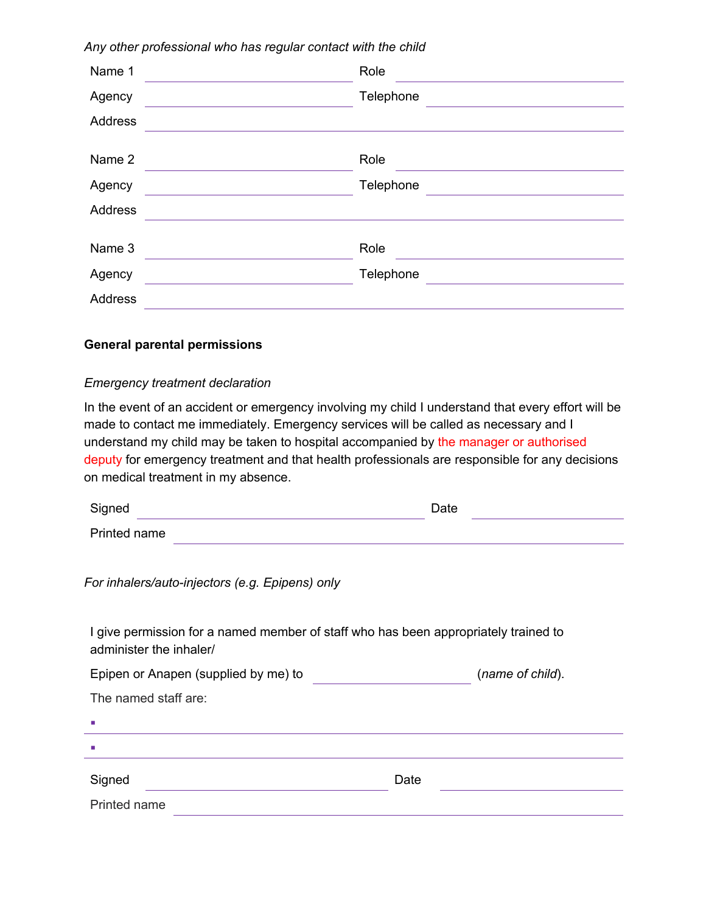| Name 1         | Role      |
|----------------|-----------|
| Agency         | Telephone |
| <b>Address</b> |           |
|                |           |
| Name 2         | Role      |
| Agency         | Telephone |
| Address        |           |
|                |           |
| Name 3         | Role      |
| Agency         | Telephone |
| Address        |           |

*Any other professional who has regular contact with the child*

#### **General parental permissions**

#### *Emergency treatment declaration*

In the event of an accident or emergency involving my child I understand that every effort will be made to contact me immediately. Emergency services will be called as necessary and I understand my child may be taken to hospital accompanied by the manager or authorised deputy for emergency treatment and that health professionals are responsible for any decisions on medical treatment in my absence.

| Signed       | Date |  |
|--------------|------|--|
| Printed name |      |  |

*For inhalers/auto-injectors (e.g. Epipens) only*

I give permission for a named member of staff who has been appropriately trained to administer the inhaler/

Epipen or Anapen (supplied by me) to (*name of child*).

| The named staff are:        |      |
|-----------------------------|------|
| $\mathcal{L}_{\mathcal{A}}$ |      |
| $\mathcal{L}_{\mathcal{A}}$ |      |
| Signed                      | Date |
| Printed name                |      |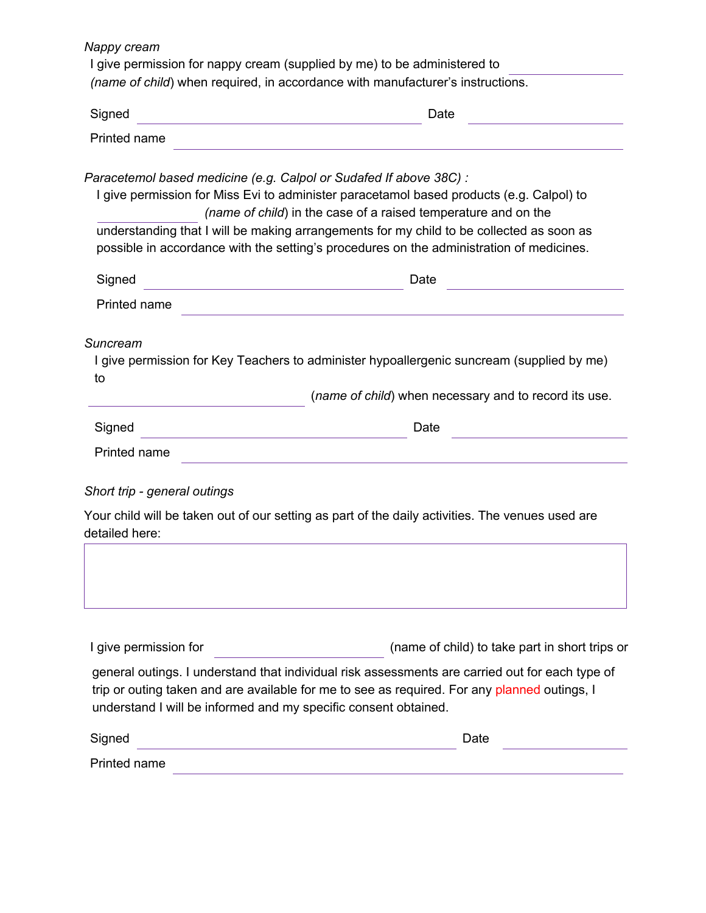| Nappy cream                                                                                                                           | I give permission for nappy cream (supplied by me) to be administered to<br>(name of child) when required, in accordance with manufacturer's instructions.                                                                                                                                                                                                                                                               |  |  |  |  |
|---------------------------------------------------------------------------------------------------------------------------------------|--------------------------------------------------------------------------------------------------------------------------------------------------------------------------------------------------------------------------------------------------------------------------------------------------------------------------------------------------------------------------------------------------------------------------|--|--|--|--|
| Signed<br>Date<br><u> 1989 - Johann Barn, mars ann an t-Amhain an t-Amhain an t-Amhain an t-Amhain an t-Amhain an t-Amhain an t-A</u> |                                                                                                                                                                                                                                                                                                                                                                                                                          |  |  |  |  |
| Printed name                                                                                                                          |                                                                                                                                                                                                                                                                                                                                                                                                                          |  |  |  |  |
|                                                                                                                                       | Paracetemol based medicine (e.g. Calpol or Sudafed If above 38C) :<br>I give permission for Miss Evi to administer paracetamol based products (e.g. Calpol) to<br>(name of child) in the case of a raised temperature and on the<br>understanding that I will be making arrangements for my child to be collected as soon as<br>possible in accordance with the setting's procedures on the administration of medicines. |  |  |  |  |
| Signed                                                                                                                                | Date<br><u> 1980 - Johann Barn, mars ann an t-Amhain an t-Amhain an t-Amhain an t-Amhain an t-Amhain an t-Amhain an t-A</u>                                                                                                                                                                                                                                                                                              |  |  |  |  |
| Printed name                                                                                                                          | <u> 1989 - Johann Stoff, amerikansk politiker (d. 1989)</u>                                                                                                                                                                                                                                                                                                                                                              |  |  |  |  |
| Suncream<br>to                                                                                                                        | I give permission for Key Teachers to administer hypoallergenic suncream (supplied by me)<br>(name of child) when necessary and to record its use.                                                                                                                                                                                                                                                                       |  |  |  |  |
| Signed                                                                                                                                | Date<br><u> 1980 - Johann Barn, mars ann an t-Amhainn an t-Amhainn an t-Amhainn an t-Amhainn an t-Amhainn an t-Amhainn an</u>                                                                                                                                                                                                                                                                                            |  |  |  |  |
| Printed name                                                                                                                          |                                                                                                                                                                                                                                                                                                                                                                                                                          |  |  |  |  |
| Short trip - general outings                                                                                                          |                                                                                                                                                                                                                                                                                                                                                                                                                          |  |  |  |  |
| detailed here:                                                                                                                        | Your child will be taken out of our setting as part of the daily activities. The venues used are                                                                                                                                                                                                                                                                                                                         |  |  |  |  |
| I give permission for                                                                                                                 | (name of child) to take part in short trips or<br>general outings. I understand that individual risk assessments are carried out for each type of<br>trip or outing taken and are available for me to see as required. For any planned outings, I<br>understand I will be informed and my specific consent obtained.                                                                                                     |  |  |  |  |
| Signed                                                                                                                                | Date                                                                                                                                                                                                                                                                                                                                                                                                                     |  |  |  |  |
| Printed name                                                                                                                          |                                                                                                                                                                                                                                                                                                                                                                                                                          |  |  |  |  |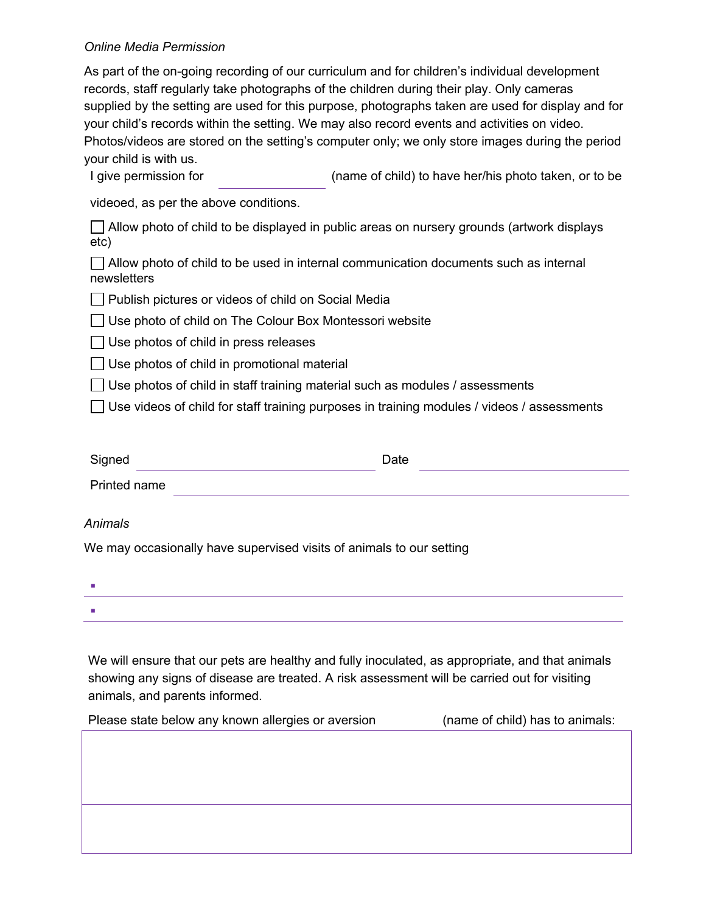#### *Online Media Permission*

As part of the on-going recording of our curriculum and for children's individual development records, staff regularly take photographs of the children during their play. Only cameras supplied by the setting are used for this purpose, photographs taken are used for display and for your child's records within the setting. We may also record events and activities on video. Photos/videos are stored on the setting's computer only; we only store images during the period your child is with us.

I give permission for (name of child) to have her/his photo taken, or to be

videoed, as per the above conditions.

 $\Box$  Allow photo of child to be displayed in public areas on nursery grounds (artwork displays etc)

 $\Box$  Allow photo of child to be used in internal communication documents such as internal newsletters

**Publish pictures or videos of child on Social Media** 

 $\Box$  Use photo of child on The Colour Box Montessori website

 $\Box$  Use photos of child in press releases

 $\Box$  Use photos of child in promotional material

 $\vert \ \vert$  Use photos of child in staff training material such as modules / assessments

 $\Box$  Use videos of child for staff training purposes in training modules / videos / assessments

| Signed       | Date |
|--------------|------|
| Printed name |      |

#### *Animals*

We may occasionally have supervised visits of animals to our setting

| <b>Contract Contract</b> |  |  |  |
|--------------------------|--|--|--|
| <b>Contract Contract</b> |  |  |  |

We will ensure that our pets are healthy and fully inoculated, as appropriate, and that animals showing any signs of disease are treated. A risk assessment will be carried out for visiting animals, and parents informed.

Please state below any known allergies or aversion (name of child) has to animals: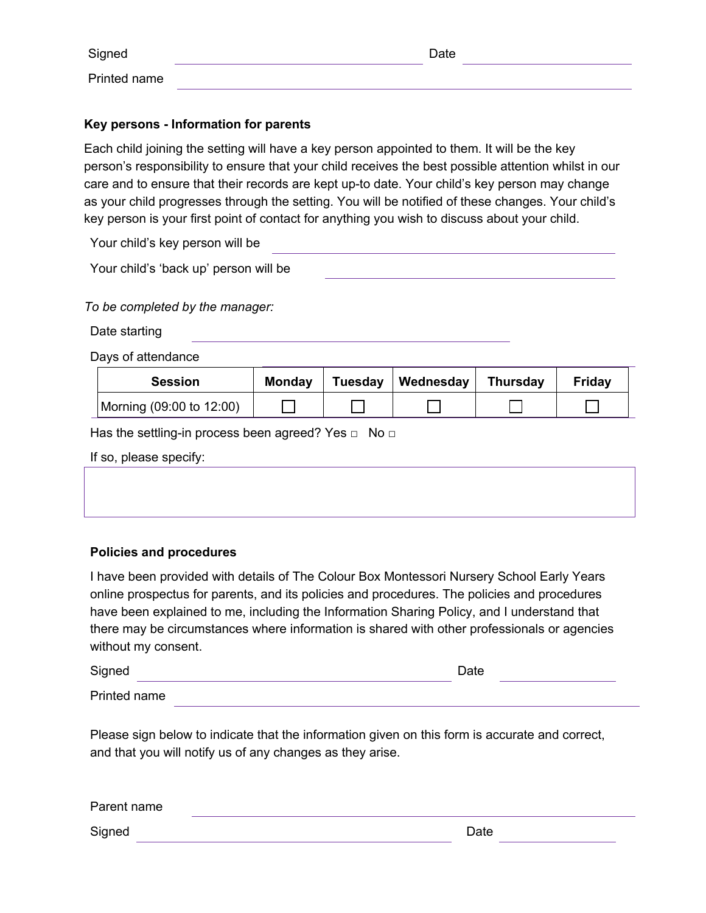| Signed       | Date |  |
|--------------|------|--|
| Printed name |      |  |

# **Key persons - Information for parents**

Each child joining the setting will have a key person appointed to them. It will be the key person's responsibility to ensure that your child receives the best possible attention whilst in our care and to ensure that their records are kept up-to date. Your child's key person may change as your child progresses through the setting. You will be notified of these changes. Your child's key person is your first point of contact for anything you wish to discuss about your child.

Your child's key person will be

Your child's 'back up' person will be

*To be completed by the manager:*

Date starting

Days of attendance

| <b>Session</b>           | <b>Monday</b> | Tuesday   Wednesday | <b>Thursday</b> | Fridav |
|--------------------------|---------------|---------------------|-----------------|--------|
| Morning (09:00 to 12:00) |               |                     |                 |        |

Has the settling-in process been agreed? Yes  $\Box$  No  $\Box$ 

| If so, please specify: |  |  |  |
|------------------------|--|--|--|
|------------------------|--|--|--|

#### **Policies and procedures**

I have been provided with details of The Colour Box Montessori Nursery School Early Years online prospectus for parents, and its policies and procedures. The policies and procedures have been explained to me, including the Information Sharing Policy, and I understand that there may be circumstances where information is shared with other professionals or agencies without my consent.

| Signed       | Date |  |
|--------------|------|--|
| Printed name |      |  |

Please sign below to indicate that the information given on this form is accurate and correct, and that you will notify us of any changes as they arise.

| Parent name |      |  |
|-------------|------|--|
| Signed      | Date |  |